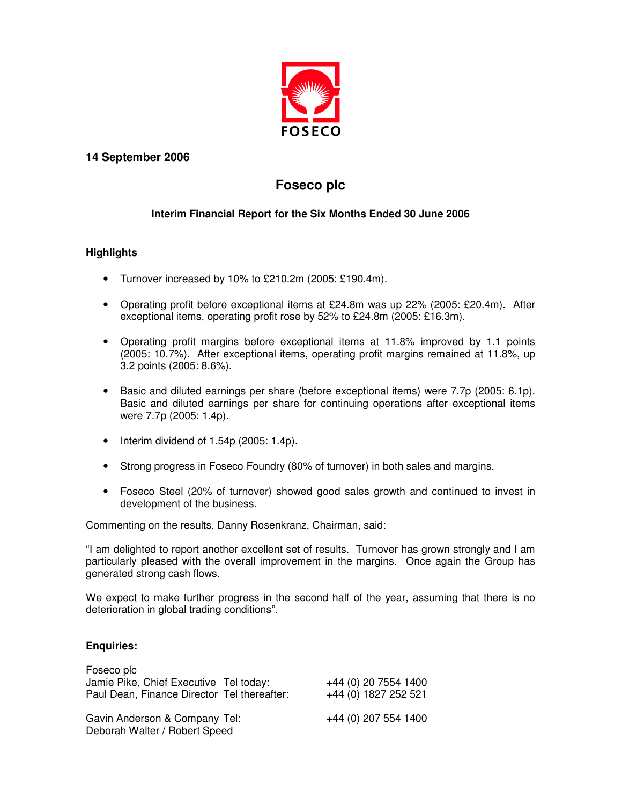

### **14 September 2006**

# **Foseco plc**

### **Interim Financial Report for the Six Months Ended 30 June 2006**

### **Highlights**

- Turnover increased by 10% to £210.2m (2005: £190.4m).
- Operating profit before exceptional items at £24.8m was up 22% (2005: £20.4m). After exceptional items, operating profit rose by 52% to £24.8m (2005: £16.3m).
- Operating profit margins before exceptional items at 11.8% improved by 1.1 points (2005: 10.7%). After exceptional items, operating profit margins remained at 11.8%, up 3.2 points (2005: 8.6%).
- Basic and diluted earnings per share (before exceptional items) were 7.7p (2005: 6.1p). Basic and diluted earnings per share for continuing operations after exceptional items were 7.7p (2005: 1.4p).
- Interim dividend of 1.54p (2005: 1.4p).
- Strong progress in Foseco Foundry (80% of turnover) in both sales and margins.
- Foseco Steel (20% of turnover) showed good sales growth and continued to invest in development of the business.

Commenting on the results, Danny Rosenkranz, Chairman, said:

"I am delighted to report another excellent set of results. Turnover has grown strongly and I am particularly pleased with the overall improvement in the margins. Once again the Group has generated strong cash flows.

We expect to make further progress in the second half of the year, assuming that there is no deterioration in global trading conditions".

### **Enquiries:**

| Foseco plc                                                     |                      |
|----------------------------------------------------------------|----------------------|
| Jamie Pike, Chief Executive Tel today:                         | +44 (0) 20 7554 1400 |
| Paul Dean, Finance Director Tel thereafter:                    | +44 (0) 1827 252 521 |
| Gavin Anderson & Company Tel:<br>Deborah Walter / Robert Speed | +44 (0) 207 554 1400 |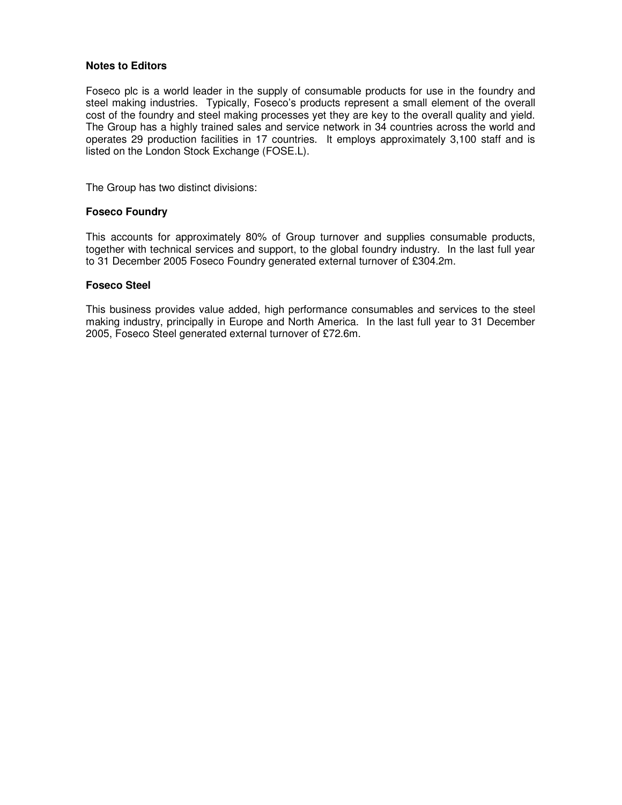### **Notes to Editors**

Foseco plc is a world leader in the supply of consumable products for use in the foundry and steel making industries. Typically, Foseco's products represent a small element of the overall cost of the foundry and steel making processes yet they are key to the overall quality and yield. The Group has a highly trained sales and service network in 34 countries across the world and operates 29 production facilities in 17 countries. It employs approximately 3,100 staff and is listed on the London Stock Exchange (FOSE.L).

The Group has two distinct divisions:

### **Foseco Foundry**

This accounts for approximately 80% of Group turnover and supplies consumable products, together with technical services and support, to the global foundry industry. In the last full year to 31 December 2005 Foseco Foundry generated external turnover of £304.2m.

### **Foseco Steel**

This business provides value added, high performance consumables and services to the steel making industry, principally in Europe and North America. In the last full year to 31 December 2005, Foseco Steel generated external turnover of £72.6m.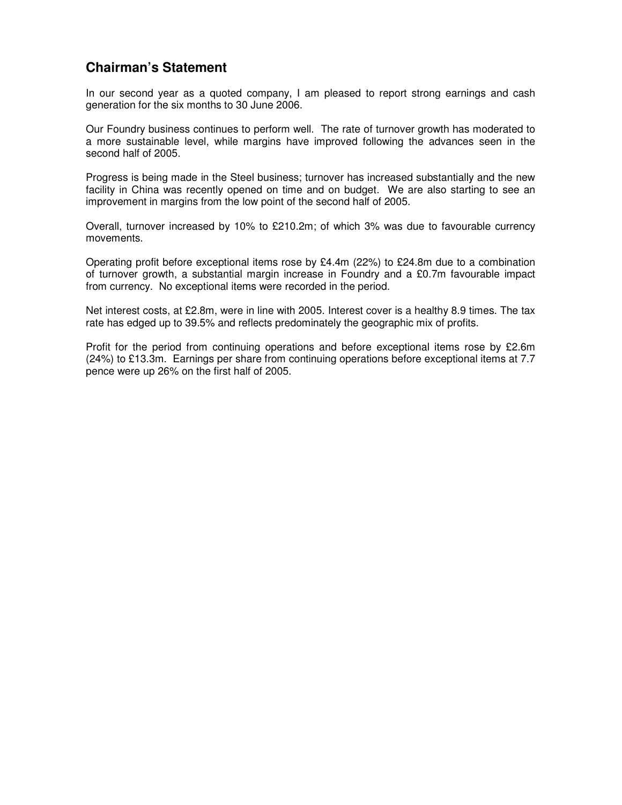# **Chairman's Statement**

In our second year as a quoted company, I am pleased to report strong earnings and cash generation for the six months to 30 June 2006.

Our Foundry business continues to perform well. The rate of turnover growth has moderated to a more sustainable level, while margins have improved following the advances seen in the second half of 2005.

Progress is being made in the Steel business; turnover has increased substantially and the new facility in China was recently opened on time and on budget. We are also starting to see an improvement in margins from the low point of the second half of 2005.

Overall, turnover increased by 10% to £210.2m; of which 3% was due to favourable currency movements.

Operating profit before exceptional items rose by £4.4m (22%) to £24.8m due to a combination of turnover growth, a substantial margin increase in Foundry and a £0.7m favourable impact from currency. No exceptional items were recorded in the period.

Net interest costs, at £2.8m, were in line with 2005. Interest cover is a healthy 8.9 times. The tax rate has edged up to 39.5% and reflects predominately the geographic mix of profits.

Profit for the period from continuing operations and before exceptional items rose by £2.6m (24%) to £13.3m. Earnings per share from continuing operations before exceptional items at 7.7 pence were up 26% on the first half of 2005.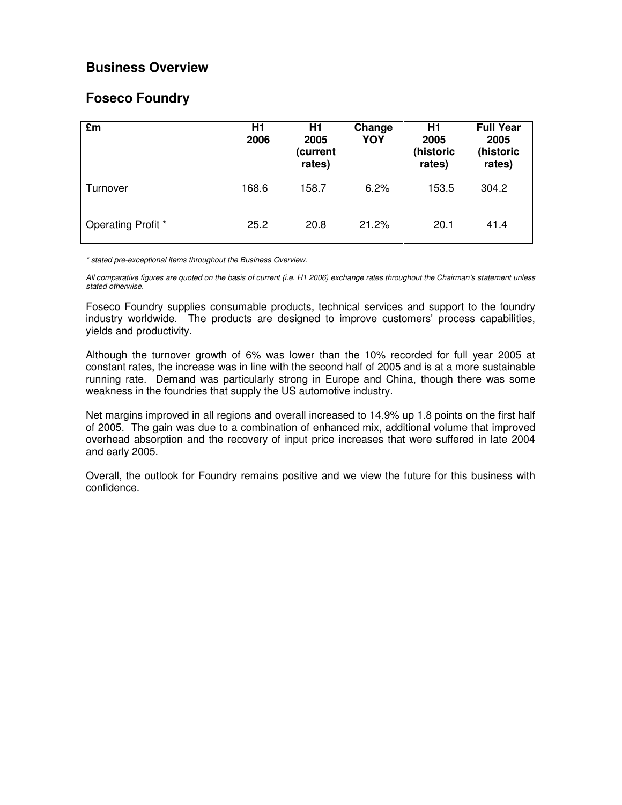# **Business Overview**

# **Foseco Foundry**

| £m                 | H1<br>2006 | H1<br>2005<br>(current<br>rates) | Change<br>YOY | H <sub>1</sub><br>2005<br>(historic<br>rates) | <b>Full Year</b><br>2005<br>(historic<br>rates) |
|--------------------|------------|----------------------------------|---------------|-----------------------------------------------|-------------------------------------------------|
| Turnover           | 168.6      | 158.7                            | 6.2%          | 153.5                                         | 304.2                                           |
| Operating Profit * | 25.2       | 20.8                             | 21.2%         | 20.1                                          | 41.4                                            |

\* stated pre-exceptional items throughout the Business Overview.

All comparative figures are quoted on the basis of current (i.e. H1 2006) exchange rates throughout the Chairman's statement unless stated otherwise.

Foseco Foundry supplies consumable products, technical services and support to the foundry industry worldwide. The products are designed to improve customers' process capabilities, yields and productivity.

Although the turnover growth of 6% was lower than the 10% recorded for full year 2005 at constant rates, the increase was in line with the second half of 2005 and is at a more sustainable running rate. Demand was particularly strong in Europe and China, though there was some weakness in the foundries that supply the US automotive industry.

Net margins improved in all regions and overall increased to 14.9% up 1.8 points on the first half of 2005. The gain was due to a combination of enhanced mix, additional volume that improved overhead absorption and the recovery of input price increases that were suffered in late 2004 and early 2005.

Overall, the outlook for Foundry remains positive and we view the future for this business with confidence.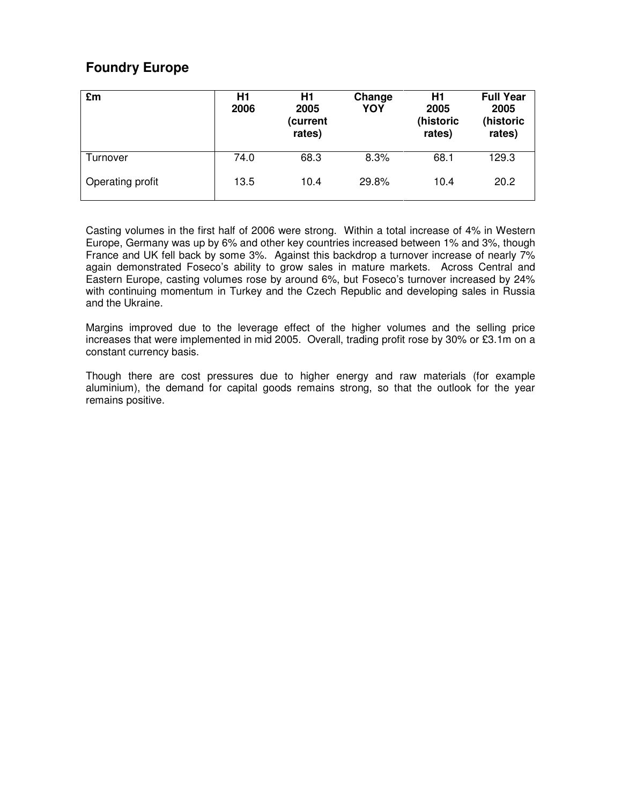# **Foundry Europe**

| £m               | H1<br>2006 | H1<br>2005<br>(current<br>rates) | Change<br>YOY | H1<br>2005<br>(historic<br>rates) | <b>Full Year</b><br>2005<br>(historic<br>rates) |
|------------------|------------|----------------------------------|---------------|-----------------------------------|-------------------------------------------------|
| Turnover         | 74.0       | 68.3                             | 8.3%          | 68.1                              | 129.3                                           |
| Operating profit | 13.5       | 10.4                             | 29.8%         | 10.4                              | 20.2                                            |

Casting volumes in the first half of 2006 were strong. Within a total increase of 4% in Western Europe, Germany was up by 6% and other key countries increased between 1% and 3%, though France and UK fell back by some 3%. Against this backdrop a turnover increase of nearly 7% again demonstrated Foseco's ability to grow sales in mature markets. Across Central and Eastern Europe, casting volumes rose by around 6%, but Foseco's turnover increased by 24% with continuing momentum in Turkey and the Czech Republic and developing sales in Russia and the Ukraine.

Margins improved due to the leverage effect of the higher volumes and the selling price increases that were implemented in mid 2005. Overall, trading profit rose by 30% or £3.1m on a constant currency basis.

Though there are cost pressures due to higher energy and raw materials (for example aluminium), the demand for capital goods remains strong, so that the outlook for the year remains positive.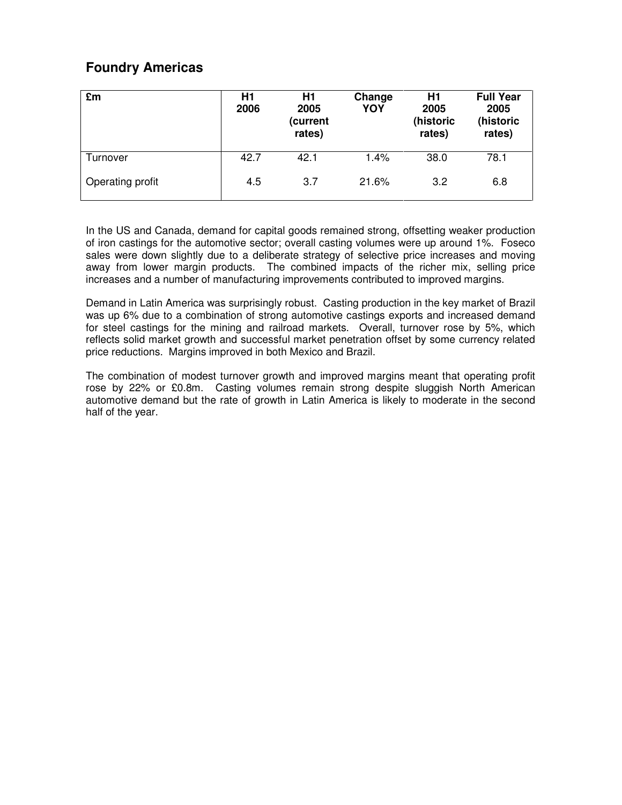# **Foundry Americas**

| £m               | H1<br>2006 | H1<br>2005<br>(current<br>rates) | Change<br>YOY | H1<br>2005<br>(historic<br>rates) | <b>Full Year</b><br>2005<br>(historic<br>rates) |
|------------------|------------|----------------------------------|---------------|-----------------------------------|-------------------------------------------------|
| Turnover         | 42.7       | 42.1                             | 1.4%          | 38.0                              | 78.1                                            |
| Operating profit | 4.5        | 3.7                              | 21.6%         | 3.2                               | 6.8                                             |

In the US and Canada, demand for capital goods remained strong, offsetting weaker production of iron castings for the automotive sector; overall casting volumes were up around 1%. Foseco sales were down slightly due to a deliberate strategy of selective price increases and moving away from lower margin products. The combined impacts of the richer mix, selling price increases and a number of manufacturing improvements contributed to improved margins.

Demand in Latin America was surprisingly robust. Casting production in the key market of Brazil was up 6% due to a combination of strong automotive castings exports and increased demand for steel castings for the mining and railroad markets. Overall, turnover rose by 5%, which reflects solid market growth and successful market penetration offset by some currency related price reductions. Margins improved in both Mexico and Brazil.

The combination of modest turnover growth and improved margins meant that operating profit rose by 22% or £0.8m. Casting volumes remain strong despite sluggish North American automotive demand but the rate of growth in Latin America is likely to moderate in the second half of the year.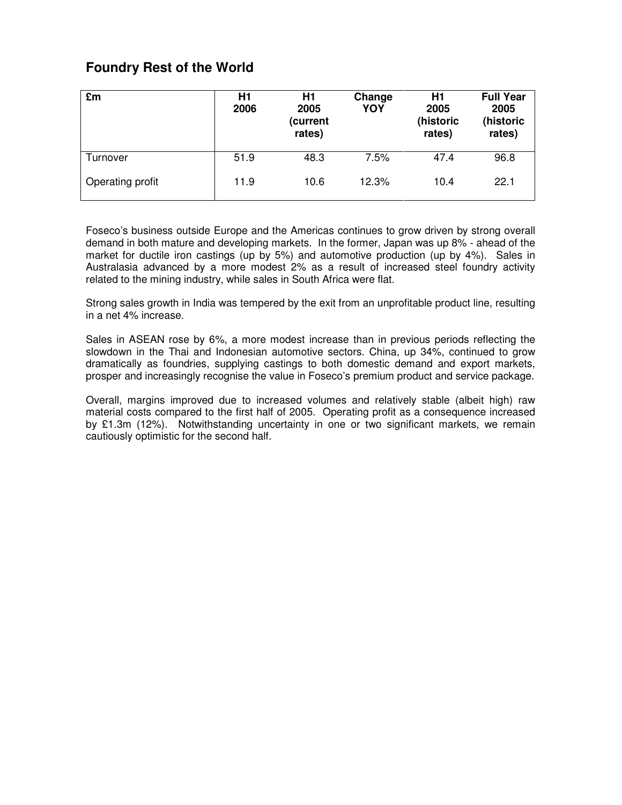# **Foundry Rest of the World**

| £m               | H1<br>2006 | H <sub>1</sub><br>2005<br>(current<br>rates) | Change<br>YOY | H1<br>2005<br>(historic<br>rates) | <b>Full Year</b><br>2005<br>(historic<br>rates) |
|------------------|------------|----------------------------------------------|---------------|-----------------------------------|-------------------------------------------------|
| Turnover         | 51.9       | 48.3                                         | 7.5%          | 47.4                              | 96.8                                            |
| Operating profit | 11.9       | 10.6                                         | 12.3%         | 10.4                              | 22.1                                            |

Foseco's business outside Europe and the Americas continues to grow driven by strong overall demand in both mature and developing markets. In the former, Japan was up 8% - ahead of the market for ductile iron castings (up by 5%) and automotive production (up by 4%). Sales in Australasia advanced by a more modest 2% as a result of increased steel foundry activity related to the mining industry, while sales in South Africa were flat.

Strong sales growth in India was tempered by the exit from an unprofitable product line, resulting in a net 4% increase.

Sales in ASEAN rose by 6%, a more modest increase than in previous periods reflecting the slowdown in the Thai and Indonesian automotive sectors. China, up 34%, continued to grow dramatically as foundries, supplying castings to both domestic demand and export markets, prosper and increasingly recognise the value in Foseco's premium product and service package.

Overall, margins improved due to increased volumes and relatively stable (albeit high) raw material costs compared to the first half of 2005. Operating profit as a consequence increased by £1.3m (12%). Notwithstanding uncertainty in one or two significant markets, we remain cautiously optimistic for the second half.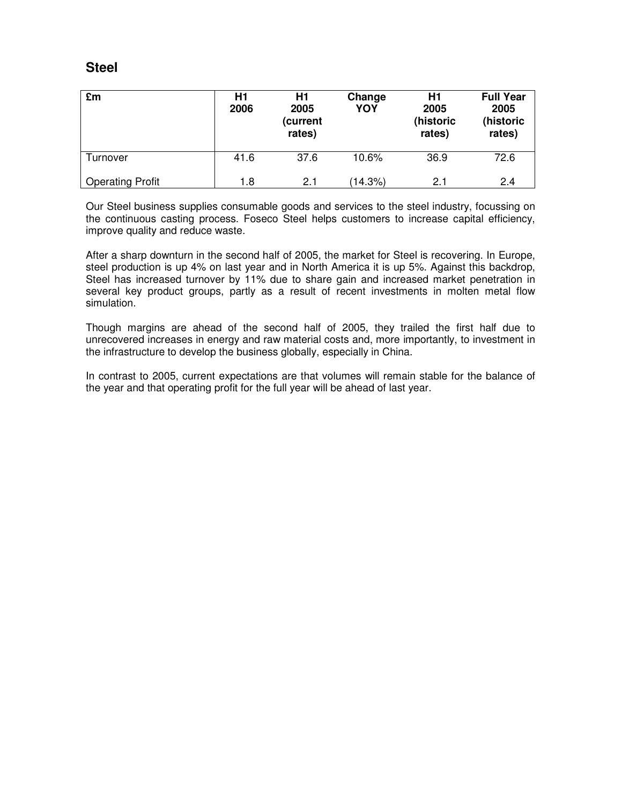# **Steel**

| £m                      | Η1<br>2006 | H1<br>2005<br>(current<br>rates) | Change<br>YOY | H1<br>2005<br>(historic<br>rates) | <b>Full Year</b><br>2005<br>(historic<br>rates) |
|-------------------------|------------|----------------------------------|---------------|-----------------------------------|-------------------------------------------------|
| Turnover                | 41.6       | 37.6                             | 10.6%         | 36.9                              | 72.6                                            |
| <b>Operating Profit</b> | 1.8        | 2.1                              | (14.3%)       | 2.1                               | 2.4                                             |

Our Steel business supplies consumable goods and services to the steel industry, focussing on the continuous casting process. Foseco Steel helps customers to increase capital efficiency, improve quality and reduce waste.

After a sharp downturn in the second half of 2005, the market for Steel is recovering. In Europe, steel production is up 4% on last year and in North America it is up 5%. Against this backdrop, Steel has increased turnover by 11% due to share gain and increased market penetration in several key product groups, partly as a result of recent investments in molten metal flow simulation.

Though margins are ahead of the second half of 2005, they trailed the first half due to unrecovered increases in energy and raw material costs and, more importantly, to investment in the infrastructure to develop the business globally, especially in China.

In contrast to 2005, current expectations are that volumes will remain stable for the balance of the year and that operating profit for the full year will be ahead of last year.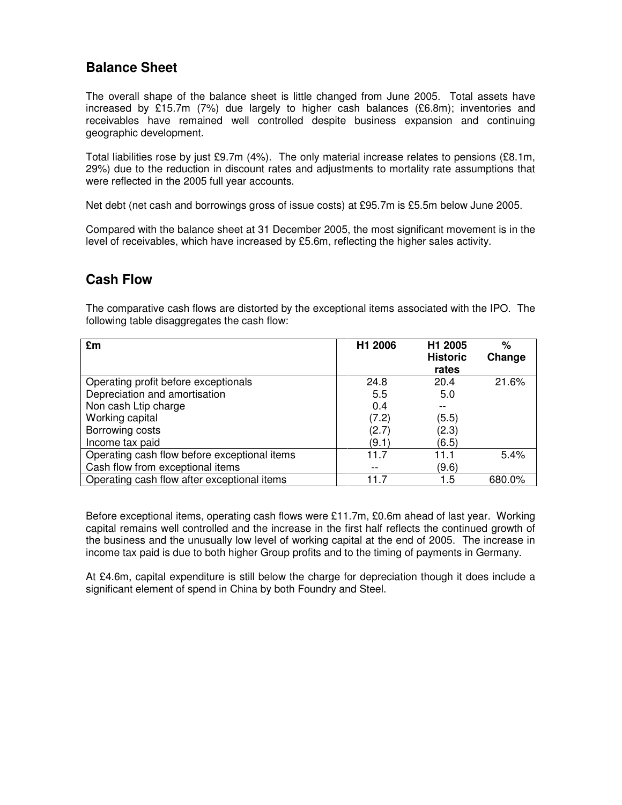# **Balance Sheet**

The overall shape of the balance sheet is little changed from June 2005. Total assets have increased by £15.7m (7%) due largely to higher cash balances (£6.8m); inventories and receivables have remained well controlled despite business expansion and continuing geographic development.

Total liabilities rose by just £9.7m (4%). The only material increase relates to pensions (£8.1m, 29%) due to the reduction in discount rates and adjustments to mortality rate assumptions that were reflected in the 2005 full year accounts.

Net debt (net cash and borrowings gross of issue costs) at £95.7m is £5.5m below June 2005.

Compared with the balance sheet at 31 December 2005, the most significant movement is in the level of receivables, which have increased by £5.6m, reflecting the higher sales activity.

# **Cash Flow**

The comparative cash flows are distorted by the exceptional items associated with the IPO. The following table disaggregates the cash flow:

| £m                                           | H1 2006 | H1 2005<br><b>Historic</b><br>rates | $\%$<br>Change |
|----------------------------------------------|---------|-------------------------------------|----------------|
| Operating profit before exceptionals         | 24.8    | 20.4                                | 21.6%          |
| Depreciation and amortisation                | 5.5     | 5.0                                 |                |
| Non cash Ltip charge                         | 0.4     |                                     |                |
| Working capital                              | (7.2)   | (5.5)                               |                |
| Borrowing costs                              | (2.7)   | (2.3)                               |                |
| Income tax paid                              | (9.1)   | (6.5)                               |                |
| Operating cash flow before exceptional items | 11.7    | 11.1                                | 5.4%           |
| Cash flow from exceptional items             |         | (9.6)                               |                |
| Operating cash flow after exceptional items  | 11 7    | 1.5                                 | 680.0%         |

Before exceptional items, operating cash flows were £11.7m, £0.6m ahead of last year. Working capital remains well controlled and the increase in the first half reflects the continued growth of the business and the unusually low level of working capital at the end of 2005. The increase in income tax paid is due to both higher Group profits and to the timing of payments in Germany.

At £4.6m, capital expenditure is still below the charge for depreciation though it does include a significant element of spend in China by both Foundry and Steel.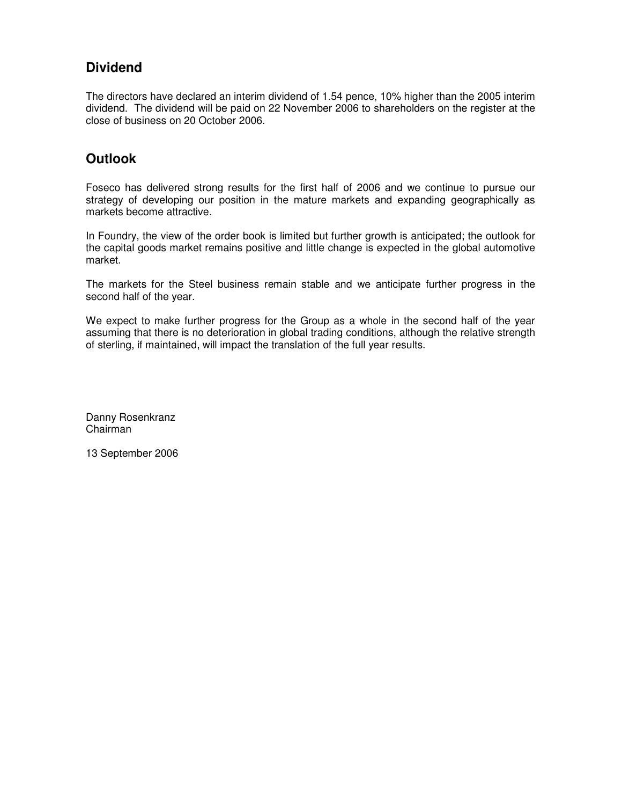# **Dividend**

The directors have declared an interim dividend of 1.54 pence, 10% higher than the 2005 interim dividend. The dividend will be paid on 22 November 2006 to shareholders on the register at the close of business on 20 October 2006.

# **Outlook**

Foseco has delivered strong results for the first half of 2006 and we continue to pursue our strategy of developing our position in the mature markets and expanding geographically as markets become attractive.

In Foundry, the view of the order book is limited but further growth is anticipated; the outlook for the capital goods market remains positive and little change is expected in the global automotive market.

The markets for the Steel business remain stable and we anticipate further progress in the second half of the year.

We expect to make further progress for the Group as a whole in the second half of the year assuming that there is no deterioration in global trading conditions, although the relative strength of sterling, if maintained, will impact the translation of the full year results.

Danny Rosenkranz Chairman

13 September 2006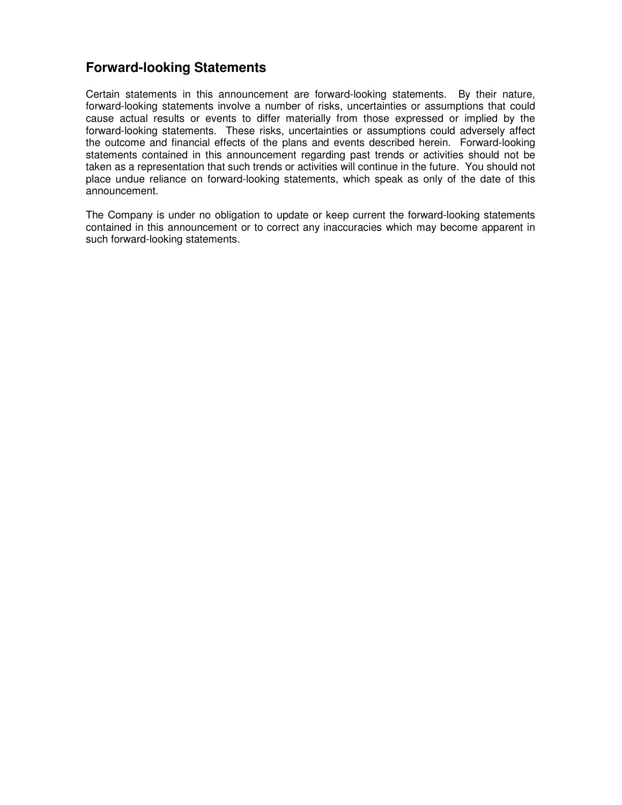# **Forward-looking Statements**

Certain statements in this announcement are forward-looking statements. By their nature, forward-looking statements involve a number of risks, uncertainties or assumptions that could cause actual results or events to differ materially from those expressed or implied by the forward-looking statements. These risks, uncertainties or assumptions could adversely affect the outcome and financial effects of the plans and events described herein. Forward-looking statements contained in this announcement regarding past trends or activities should not be taken as a representation that such trends or activities will continue in the future. You should not place undue reliance on forward-looking statements, which speak as only of the date of this announcement.

The Company is under no obligation to update or keep current the forward-looking statements contained in this announcement or to correct any inaccuracies which may become apparent in such forward-looking statements.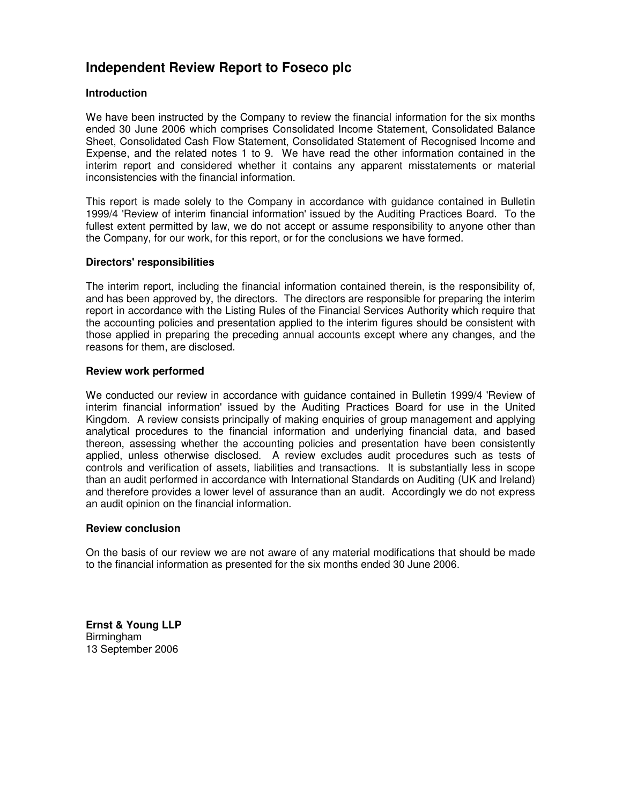# **Independent Review Report to Foseco plc**

### **Introduction**

We have been instructed by the Company to review the financial information for the six months ended 30 June 2006 which comprises Consolidated Income Statement, Consolidated Balance Sheet, Consolidated Cash Flow Statement, Consolidated Statement of Recognised Income and Expense, and the related notes 1 to 9. We have read the other information contained in the interim report and considered whether it contains any apparent misstatements or material inconsistencies with the financial information.

This report is made solely to the Company in accordance with guidance contained in Bulletin 1999/4 'Review of interim financial information' issued by the Auditing Practices Board. To the fullest extent permitted by law, we do not accept or assume responsibility to anyone other than the Company, for our work, for this report, or for the conclusions we have formed.

### **Directors' responsibilities**

The interim report, including the financial information contained therein, is the responsibility of, and has been approved by, the directors. The directors are responsible for preparing the interim report in accordance with the Listing Rules of the Financial Services Authority which require that the accounting policies and presentation applied to the interim figures should be consistent with those applied in preparing the preceding annual accounts except where any changes, and the reasons for them, are disclosed.

### **Review work performed**

We conducted our review in accordance with guidance contained in Bulletin 1999/4 'Review of interim financial information' issued by the Auditing Practices Board for use in the United Kingdom. A review consists principally of making enquiries of group management and applying analytical procedures to the financial information and underlying financial data, and based thereon, assessing whether the accounting policies and presentation have been consistently applied, unless otherwise disclosed. A review excludes audit procedures such as tests of controls and verification of assets, liabilities and transactions. It is substantially less in scope than an audit performed in accordance with International Standards on Auditing (UK and Ireland) and therefore provides a lower level of assurance than an audit. Accordingly we do not express an audit opinion on the financial information.

### **Review conclusion**

On the basis of our review we are not aware of any material modifications that should be made to the financial information as presented for the six months ended 30 June 2006.

**Ernst & Young LLP**  Birmingham 13 September 2006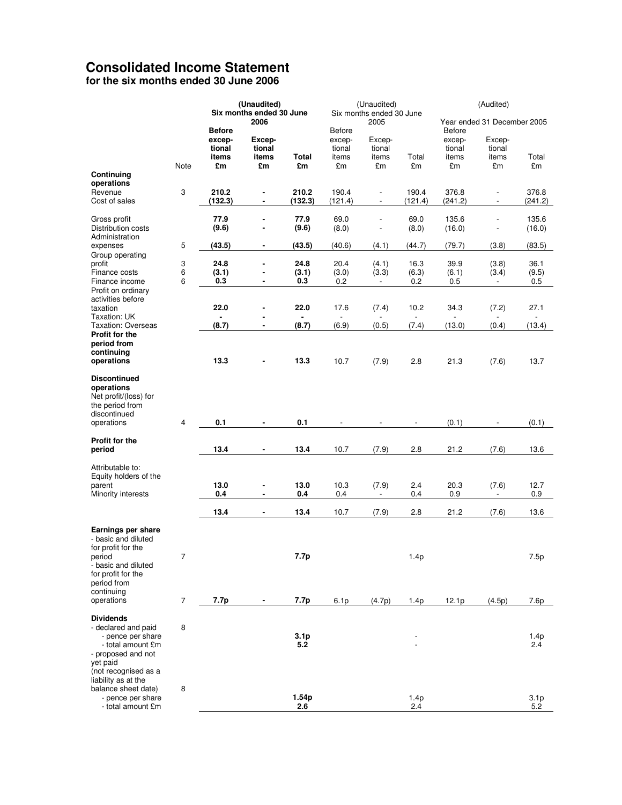# **Consolidated Income Statement**

**for the six months ended 30 June 2006** 

|                                                                                                                                       |                         |                         | (Unaudited)                                    |                         |                  | (Unaudited)                      |                  |                         | (Audited)                                            |                         |
|---------------------------------------------------------------------------------------------------------------------------------------|-------------------------|-------------------------|------------------------------------------------|-------------------------|------------------|----------------------------------|------------------|-------------------------|------------------------------------------------------|-------------------------|
|                                                                                                                                       |                         |                         | Six months ended 30 June<br>2006               |                         |                  | Six months ended 30 June<br>2005 |                  |                         | Year ended 31 December 2005                          |                         |
|                                                                                                                                       |                         | <b>Before</b><br>excep- | Excep-                                         |                         | Before<br>excep- | Excep-                           |                  | <b>Before</b><br>excep- | Excep-                                               |                         |
|                                                                                                                                       |                         | tional<br>items         | tional<br>items                                | Total                   | tional<br>items  | tional<br>items                  | Total            | tional<br>items         | tional<br>items                                      | Total                   |
|                                                                                                                                       | Note                    | £m                      | £m                                             | £m                      | £m               | £m                               | £m               | £m                      | £m                                                   | £m                      |
| Continuing<br>operations                                                                                                              |                         |                         |                                                |                         |                  |                                  |                  |                         |                                                      |                         |
| Revenue<br>Cost of sales                                                                                                              | 3                       | 210.2<br>(132.3)        | $\qquad \qquad \blacksquare$<br>$\blacksquare$ | 210.2<br>(132.3)        | 190.4<br>(121.4) | $\overline{a}$<br>$\overline{a}$ | 190.4<br>(121.4) | 376.8<br>(241.2)        | $\overline{\phantom{a}}$<br>$\overline{\phantom{a}}$ | 376.8<br>(241.2)        |
| Gross profit<br>Distribution costs                                                                                                    |                         | 77.9<br>(9.6)           | $\blacksquare$                                 | 77.9<br>(9.6)           | 69.0<br>(8.0)    | $\overline{a}$                   | 69.0<br>(8.0)    | 135.6<br>(16.0)         |                                                      | 135.6<br>(16.0)         |
| Administration<br>expenses                                                                                                            | 5                       | (43.5)                  | $\blacksquare$                                 | (43.5)                  | (40.6)           | (4.1)                            | (44.7)           | (79.7)                  | (3.8)                                                | (83.5)                  |
| Group operating<br>profit                                                                                                             |                         | 24.8                    | ٠                                              | 24.8                    | 20.4             |                                  | 16.3             | 39.9                    |                                                      | 36.1                    |
| Finance costs                                                                                                                         | 3<br>6                  | (3.1)                   | $\blacksquare$                                 | (3.1)                   | (3.0)            | (4.1)<br>(3.3)                   | (6.3)            | (6.1)                   | (3.8)<br>(3.4)                                       | (9.5)                   |
| Finance income<br>Profit on ordinary                                                                                                  | 6                       | 0.3                     | $\blacksquare$                                 | 0.3                     | 0.2              | $\overline{\phantom{a}}$         | 0.2              | 0.5                     | $\overline{\phantom{a}}$                             | 0.5                     |
| activities before<br>taxation                                                                                                         |                         | 22.0                    |                                                | 22.0                    | 17.6             | (7.4)                            | 10.2             | 34.3                    | (7.2)                                                | 27.1                    |
| Taxation: UK<br><b>Taxation: Overseas</b>                                                                                             |                         | ٠<br>(8.7)              | ä,                                             | (8.7)                   | (6.9)            |                                  |                  |                         |                                                      |                         |
| Profit for the                                                                                                                        |                         |                         |                                                |                         |                  | (0.5)                            | (7.4)            | (13.0)                  | (0.4)                                                | (13.4)                  |
| period from<br>continuing<br>operations                                                                                               |                         | 13.3                    |                                                | 13.3                    | 10.7             | (7.9)                            | 2.8              | 21.3                    | (7.6)                                                | 13.7                    |
|                                                                                                                                       |                         |                         |                                                |                         |                  |                                  |                  |                         |                                                      |                         |
| <b>Discontinued</b><br>operations<br>Net profit/(loss) for<br>the period from<br>discontinued                                         | $\overline{\mathbf{4}}$ | 0.1                     | ä,                                             | 0.1                     |                  |                                  |                  | (0.1)                   |                                                      |                         |
| operations                                                                                                                            |                         |                         |                                                |                         |                  |                                  |                  |                         |                                                      | (0.1)                   |
| Profit for the<br>period                                                                                                              |                         | 13.4                    | ٠                                              | 13.4                    | 10.7             | (7.9)                            | 2.8              | 21.2                    | (7.6)                                                | 13.6                    |
| Attributable to:<br>Equity holders of the<br>parent                                                                                   |                         | 13.0                    | -                                              | 13.0                    | 10.3             | (7.9)                            | 2.4              | 20.3                    | (7.6)                                                | 12.7                    |
| Minority interests                                                                                                                    |                         | 0.4                     |                                                | 0.4                     | 0.4              |                                  | 0.4              | 0.9                     |                                                      | 0.9                     |
|                                                                                                                                       |                         | 13.4                    | $\blacksquare$                                 | 13.4                    | 10.7             | (7.9)                            | 2.8              | 21.2                    | (7.6)                                                | 13.6                    |
| Earnings per share<br>- basic and diluted<br>for profit for the<br>period<br>- basic and diluted<br>for profit for the<br>period from | 7                       |                         |                                                | 7.7p                    |                  |                                  | 1.4p             |                         |                                                      | 7.5p                    |
| continuing<br>operations                                                                                                              | 7                       | 7.7p                    |                                                | 7.7p                    | 6.1p             | (4.7p)                           | 1.4p             | 12.1p                   | (4.5p)                                               |                         |
|                                                                                                                                       |                         |                         |                                                |                         |                  |                                  |                  |                         |                                                      | 7.6p                    |
| <b>Dividends</b><br>- declared and paid<br>- pence per share<br>- total amount £m<br>- proposed and not<br>yet paid                   | 8                       |                         |                                                | 3.1 <sub>p</sub><br>5.2 |                  |                                  |                  |                         |                                                      | 1.4p<br>$2.4\,$         |
| (not recognised as a<br>liability as at the<br>balance sheet date)<br>- pence per share<br>- total amount £m                          | 8                       |                         |                                                | 1.54p<br>2.6            |                  |                                  | 1.4p<br>2.4      |                         |                                                      | 3.1 <sub>p</sub><br>5.2 |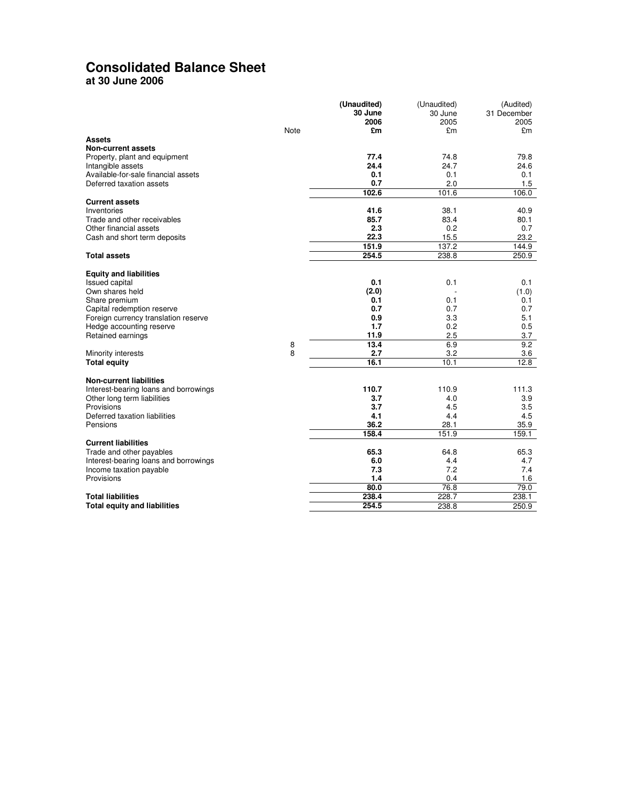# **Consolidated Balance Sheet**

**at 30 June 2006** 

|                                       |      | (Unaudited) | (Unaudited) | (Audited)   |
|---------------------------------------|------|-------------|-------------|-------------|
|                                       |      | 30 June     | 30 June     | 31 December |
|                                       |      | 2006        | 2005        | 2005        |
|                                       | Note | £m          | £m          | £m          |
| <b>Assets</b>                         |      |             |             |             |
| <b>Non-current assets</b>             |      |             |             |             |
| Property, plant and equipment         |      | 77.4        | 74.8        | 79.8        |
| Intangible assets                     |      | 24.4        | 24.7        | 24.6        |
| Available-for-sale financial assets   |      | 0.1         | 0.1         | 0.1         |
| Deferred taxation assets              |      | 0.7         | 2.0         | 1.5         |
|                                       |      | 102.6       | 101.6       | 106.0       |
| <b>Current assets</b>                 |      |             |             |             |
| Inventories                           |      | 41.6        | 38.1        | 40.9        |
| Trade and other receivables           |      | 85.7        | 83.4        | 80.1        |
| Other financial assets                |      | 2.3         | 0.2         | 0.7         |
| Cash and short term deposits          |      | 22.3        | 15.5        | 23.2        |
|                                       |      | 151.9       | 137.2       | 144.9       |
| <b>Total assets</b>                   |      | 254.5       | 238.8       | 250.9       |
|                                       |      |             |             |             |
| <b>Equity and liabilities</b>         |      |             |             |             |
| <b>Issued capital</b>                 |      | 0.1         | 0.1         | 0.1         |
| Own shares held                       |      | (2.0)       |             | (1.0)       |
| Share premium                         |      | 0.1         | 0.1         | 0.1         |
| Capital redemption reserve            |      | 0.7         | 0.7         | 0.7         |
| Foreign currency translation reserve  |      | 0.9         | 3.3         | 5.1         |
| Hedge accounting reserve              |      | 1.7         | 0.2         | 0.5         |
| Retained earnings                     |      | 11.9        | 2.5         | 3.7         |
|                                       | 8    | 13.4        | 6.9         | 9.2         |
| Minority interests                    | 8    | 2.7         | 3.2         | 3.6         |
| <b>Total equity</b>                   |      | 16.1        | 10.1        | 12.8        |
|                                       |      |             |             |             |
| <b>Non-current liabilities</b>        |      |             |             |             |
| Interest-bearing loans and borrowings |      | 110.7       | 110.9       | 111.3       |
| Other long term liabilities           |      | 3.7         | 4.0         | 3.9         |
| Provisions                            |      | 3.7         | 4.5         | 3.5         |
| Deferred taxation liabilities         |      | 4.1         | 4.4         | 4.5         |
| Pensions                              |      | 36.2        | 28.1        | 35.9        |
|                                       |      | 158.4       | 151.9       | 159.1       |
| <b>Current liabilities</b>            |      |             |             |             |
| Trade and other payables              |      | 65.3        | 64.8        | 65.3        |
| Interest-bearing loans and borrowings |      | 6.0         | 4.4         | 4.7         |
| Income taxation payable               |      | 7.3         | 7.2         | 7.4         |
| Provisions                            |      | 1.4         | 0.4         | 1.6         |
|                                       |      | 80.0        | 76.8        | 79.0        |
| <b>Total liabilities</b>              |      | 238.4       | 228.7       | 238.1       |
| <b>Total equity and liabilities</b>   |      | 254.5       | 238.8       | 250.9       |
|                                       |      |             |             |             |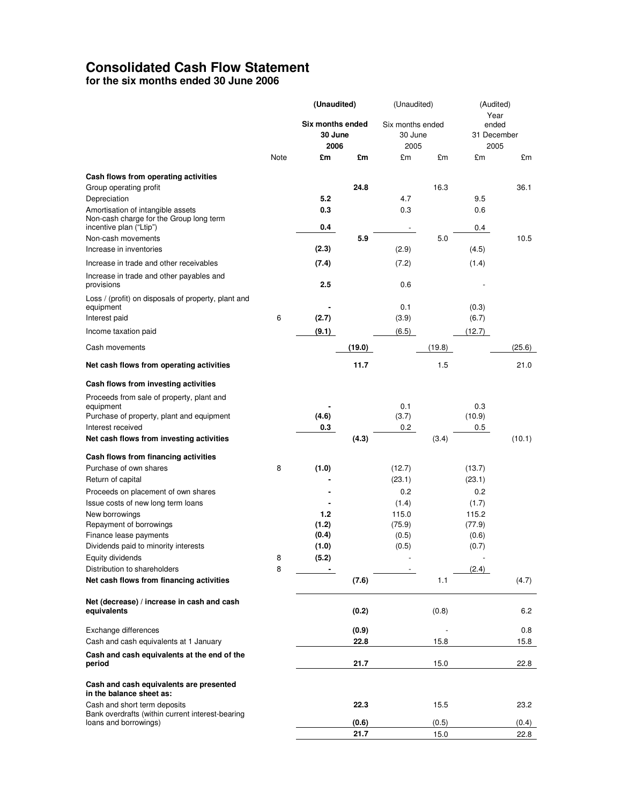## **Consolidated Cash Flow Statement**

**for the six months ended 30 June 2006** 

|                                                                           |      | (Unaudited)      |        | (Unaudited)      |        | (Audited)     |        |
|---------------------------------------------------------------------------|------|------------------|--------|------------------|--------|---------------|--------|
|                                                                           |      | Six months ended |        |                  |        | Year<br>ended |        |
|                                                                           |      | 30 June          |        | Six months ended |        | 31 December   |        |
|                                                                           |      | 2006             |        | 30 June<br>2005  |        | 2005          |        |
|                                                                           | Note | £m               | £m     | £m               | £m     | £m            | £m     |
|                                                                           |      |                  |        |                  |        |               |        |
| Cash flows from operating activities                                      |      |                  |        |                  |        |               |        |
| Group operating profit                                                    |      |                  | 24.8   |                  | 16.3   |               | 36.1   |
| Depreciation                                                              |      | 5.2              |        | 4.7              |        | 9.5           |        |
| Amortisation of intangible assets                                         |      | 0.3              |        | 0.3              |        | 0.6           |        |
| Non-cash charge for the Group long term<br>incentive plan ("Ltip")        |      | 0.4              |        |                  |        | 0.4           |        |
| Non-cash movements                                                        |      |                  | 5.9    |                  | 5.0    |               | 10.5   |
| Increase in inventories                                                   |      | (2.3)            |        | (2.9)            |        | (4.5)         |        |
| Increase in trade and other receivables                                   |      | (7.4)            |        | (7.2)            |        | (1.4)         |        |
|                                                                           |      |                  |        |                  |        |               |        |
| Increase in trade and other payables and<br>provisions                    |      | 2.5              |        | 0.6              |        |               |        |
| Loss / (profit) on disposals of property, plant and                       |      |                  |        |                  |        |               |        |
| equipment                                                                 |      |                  |        | 0.1              |        | (0.3)         |        |
| Interest paid                                                             | 6    | (2.7)            |        | (3.9)            |        | (6.7)         |        |
| Income taxation paid                                                      |      | (9.1)            |        | (6.5)            |        | (12.7)        |        |
|                                                                           |      |                  |        |                  |        |               |        |
| Cash movements                                                            |      |                  | (19.0) |                  | (19.8) |               | (25.6) |
| Net cash flows from operating activities                                  |      |                  | 11.7   |                  | 1.5    |               | 21.0   |
| Cash flows from investing activities                                      |      |                  |        |                  |        |               |        |
| Proceeds from sale of property, plant and                                 |      |                  |        |                  |        |               |        |
| equipment                                                                 |      |                  |        | 0.1              |        | 0.3           |        |
| Purchase of property, plant and equipment                                 |      | (4.6)            |        | (3.7)            |        | (10.9)        |        |
| Interest received<br>Net cash flows from investing activities             |      | 0.3              | (4.3)  | 0.2              |        | 0.5           | (10.1) |
|                                                                           |      |                  |        |                  | (3.4)  |               |        |
| Cash flows from financing activities                                      |      |                  |        |                  |        |               |        |
| Purchase of own shares                                                    | 8    | (1.0)            |        | (12.7)           |        | (13.7)        |        |
| Return of capital                                                         |      |                  |        | (23.1)           |        | (23.1)        |        |
| Proceeds on placement of own shares                                       |      |                  |        | 0.2              |        | 0.2           |        |
| Issue costs of new long term loans                                        |      |                  |        | (1.4)            |        | (1.7)         |        |
| New borrowings                                                            |      | 1.2              |        | 115.0            |        | 115.2         |        |
| Repayment of borrowings                                                   |      | (1.2)            |        | (75.9)           |        | (77.9)        |        |
| Finance lease payments                                                    |      | (0.4)            |        | (0.5)            |        | (0.6)         |        |
| Dividends paid to minority interests                                      |      | (1.0)            |        | (0.5)            |        | (0.7)         |        |
| Equity dividends                                                          | 8    | (5.2)            |        |                  |        |               |        |
| Distribution to shareholders                                              | 8    |                  |        |                  |        | (2.4)         |        |
| Net cash flows from financing activities                                  |      |                  | (7.6)  |                  | 1.1    |               | (4.7)  |
| Net (decrease) / increase in cash and cash                                |      |                  |        |                  |        |               |        |
| equivalents                                                               |      |                  | (0.2)  |                  | (0.8)  |               | 6.2    |
| Exchange differences                                                      |      |                  | (0.9)  |                  |        |               | 0.8    |
| Cash and cash equivalents at 1 January                                    |      |                  | 22.8   |                  | 15.8   |               | 15.8   |
| Cash and cash equivalents at the end of the                               |      |                  |        |                  |        |               |        |
| period                                                                    |      |                  | 21.7   |                  | 15.0   |               | 22.8   |
| Cash and cash equivalents are presented<br>in the balance sheet as:       |      |                  |        |                  |        |               |        |
| Cash and short term deposits                                              |      |                  | 22.3   |                  | 15.5   |               | 23.2   |
| Bank overdrafts (within current interest-bearing<br>loans and borrowings) |      |                  | (0.6)  |                  | (0.5)  |               | (0.4)  |
|                                                                           |      |                  | 21.7   |                  | 15.0   |               | 22.8   |
|                                                                           |      |                  |        |                  |        |               |        |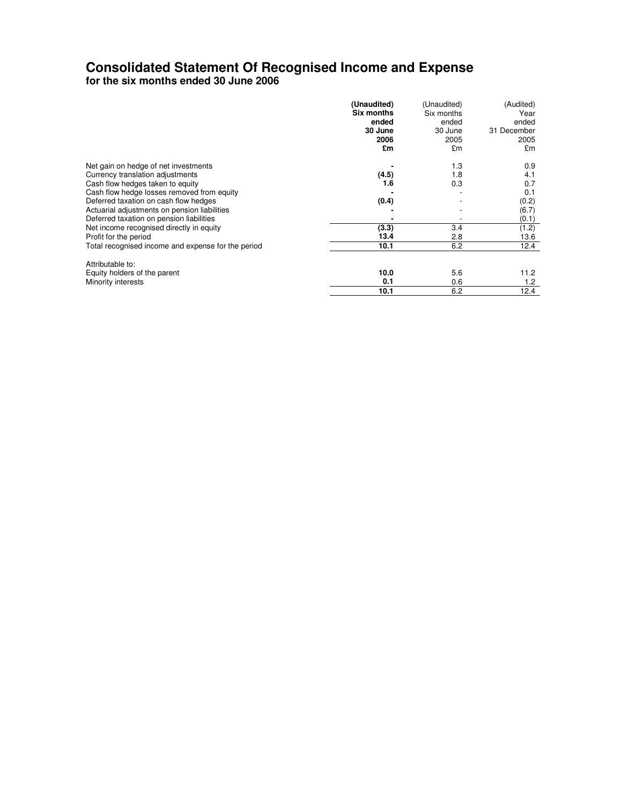# **Consolidated Statement Of Recognised Income and Expense**

**for the six months ended 30 June 2006** 

|                                                    | (Unaudited)<br>Six months<br>ended<br>30 June<br>2006 | (Unaudited)<br>Six months<br>ended<br>30 June<br>2005 | (Audited)<br>Year<br>ended<br>31 December<br>2005 |
|----------------------------------------------------|-------------------------------------------------------|-------------------------------------------------------|---------------------------------------------------|
|                                                    | £m                                                    | £m                                                    | £m                                                |
| Net gain on hedge of net investments               |                                                       | 1.3                                                   | 0.9                                               |
| Currency translation adjustments                   | (4.5)                                                 | 1.8                                                   | 4.1                                               |
| Cash flow hedges taken to equity                   | 1.6                                                   | 0.3                                                   | 0.7                                               |
| Cash flow hedge losses removed from equity         |                                                       |                                                       | 0.1                                               |
| Deferred taxation on cash flow hedges              | (0.4)                                                 |                                                       | (0.2)                                             |
| Actuarial adjustments on pension liabilities       |                                                       |                                                       | (6.7)                                             |
| Deferred taxation on pension liabilities           |                                                       |                                                       | (0.1)                                             |
| Net income recognised directly in equity           | (3.3)                                                 | 3.4                                                   | (1.2)                                             |
| Profit for the period                              | 13.4                                                  | 2.8                                                   | 13.6                                              |
| Total recognised income and expense for the period | 10.1                                                  | 6.2                                                   | 12.4                                              |
| Attributable to:                                   |                                                       |                                                       |                                                   |
| Equity holders of the parent                       | 10.0                                                  | 5.6                                                   | 11.2                                              |
| Minority interests                                 | 0.1                                                   | 0.6                                                   | 1.2                                               |
|                                                    | 10.1                                                  | 6.2                                                   | 12.4                                              |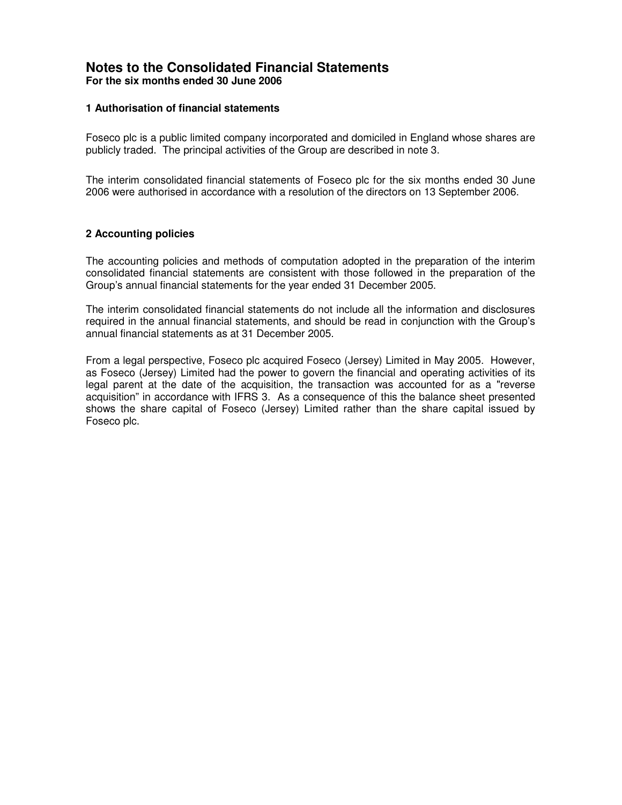### **Notes to the Consolidated Financial Statements For the six months ended 30 June 2006**

### **1 Authorisation of financial statements**

Foseco plc is a public limited company incorporated and domiciled in England whose shares are publicly traded. The principal activities of the Group are described in note 3.

The interim consolidated financial statements of Foseco plc for the six months ended 30 June 2006 were authorised in accordance with a resolution of the directors on 13 September 2006.

### **2 Accounting policies**

The accounting policies and methods of computation adopted in the preparation of the interim consolidated financial statements are consistent with those followed in the preparation of the Group's annual financial statements for the year ended 31 December 2005.

The interim consolidated financial statements do not include all the information and disclosures required in the annual financial statements, and should be read in conjunction with the Group's annual financial statements as at 31 December 2005.

From a legal perspective, Foseco plc acquired Foseco (Jersey) Limited in May 2005. However, as Foseco (Jersey) Limited had the power to govern the financial and operating activities of its legal parent at the date of the acquisition, the transaction was accounted for as a "reverse acquisition" in accordance with IFRS 3. As a consequence of this the balance sheet presented shows the share capital of Foseco (Jersey) Limited rather than the share capital issued by Foseco plc.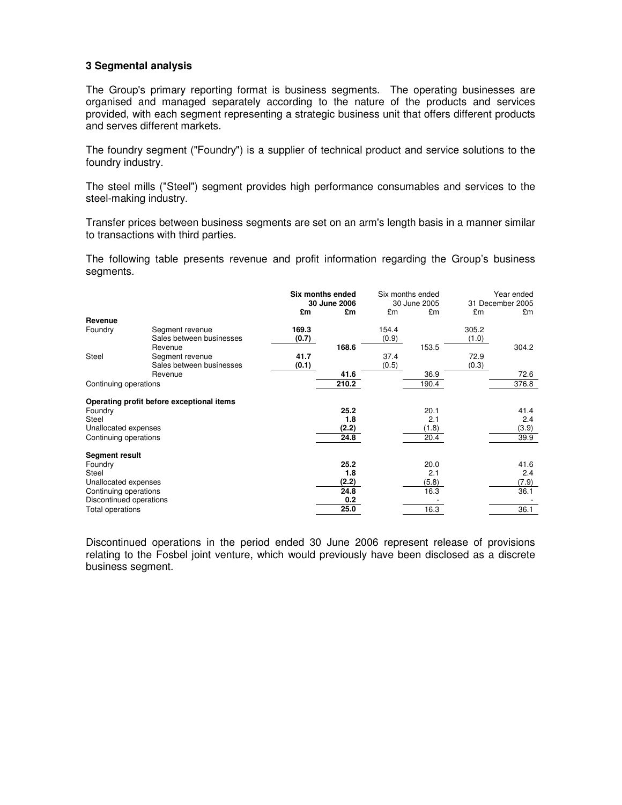### **3 Segmental analysis**

The Group's primary reporting format is business segments. The operating businesses are organised and managed separately according to the nature of the products and services provided, with each segment representing a strategic business unit that offers different products and serves different markets.

The foundry segment ("Foundry") is a supplier of technical product and service solutions to the foundry industry.

The steel mills ("Steel") segment provides high performance consumables and services to the steel-making industry.

Transfer prices between business segments are set on an arm's length basis in a manner similar to transactions with third parties.

The following table presents revenue and profit information regarding the Group's business segments.

|                         |                                           | Six months ended<br>30 June 2006 |       |       | Six months ended<br>30 June 2005 |       | Year ended<br>31 December 2005 |
|-------------------------|-------------------------------------------|----------------------------------|-------|-------|----------------------------------|-------|--------------------------------|
|                         |                                           | £m                               | £m    | £m    | £m                               | £m    | £m                             |
| Revenue                 |                                           |                                  |       |       |                                  |       |                                |
| Foundry                 | Segment revenue                           | 169.3                            |       | 154.4 |                                  | 305.2 |                                |
|                         | Sales between businesses                  | (0.7)                            |       | (0.9) |                                  | (1.0) |                                |
|                         | Revenue                                   |                                  | 168.6 |       | 153.5                            |       | 304.2                          |
| Steel                   | Segment revenue                           | 41.7                             |       | 37.4  |                                  | 72.9  |                                |
|                         | Sales between businesses                  | (0.1)                            |       | (0.5) |                                  | (0.3) |                                |
|                         | Revenue                                   |                                  | 41.6  |       | 36.9                             |       | 72.6                           |
| Continuing operations   |                                           |                                  | 210.2 |       | 190.4                            |       | 376.8                          |
|                         | Operating profit before exceptional items |                                  |       |       |                                  |       |                                |
| Foundry                 |                                           |                                  | 25.2  |       | 20.1                             |       | 41.4                           |
| <b>Steel</b>            |                                           |                                  | 1.8   |       | 2.1                              |       | 2.4                            |
| Unallocated expenses    |                                           |                                  | (2.2) |       | (1.8)                            |       | (3.9)                          |
| Continuing operations   |                                           |                                  | 24.8  |       | 20.4                             |       | 39.9                           |
| <b>Segment result</b>   |                                           |                                  |       |       |                                  |       |                                |
| Foundry                 |                                           |                                  | 25.2  |       | 20.0                             |       | 41.6                           |
| Steel                   |                                           |                                  | 1.8   |       | 2.1                              |       | 2.4                            |
| Unallocated expenses    |                                           |                                  | (2.2) |       | (5.8)                            |       | (7.9)                          |
| Continuing operations   |                                           |                                  | 24.8  |       | 16.3                             |       | 36.1                           |
| Discontinued operations |                                           |                                  | 0.2   |       |                                  |       |                                |
| Total operations        |                                           |                                  | 25.0  |       | 16.3                             |       | 36.1                           |

Discontinued operations in the period ended 30 June 2006 represent release of provisions relating to the Fosbel joint venture, which would previously have been disclosed as a discrete business segment.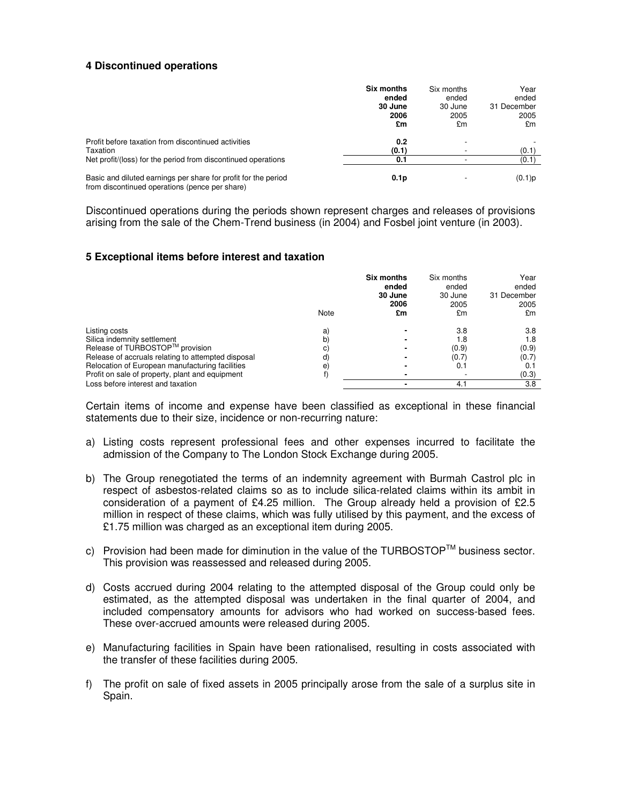### **4 Discontinued operations**

|                                                                                                                  | Six months<br>ended<br>30 June<br>2006<br>£m | Six months<br>ended<br>30 June<br>2005<br>£m | Year<br>ended<br>31 December<br>2005<br>£m |
|------------------------------------------------------------------------------------------------------------------|----------------------------------------------|----------------------------------------------|--------------------------------------------|
| Profit before taxation from discontinued activities<br>Taxation                                                  | 0.2<br>(0.1)                                 |                                              | (0.1)                                      |
| Net profit/(loss) for the period from discontinued operations                                                    | 0.1                                          |                                              | (0.1)                                      |
| Basic and diluted earnings per share for profit for the period<br>from discontinued operations (pence per share) | 0.1 <sub>p</sub>                             |                                              | (0.1)p                                     |

Discontinued operations during the periods shown represent charges and releases of provisions arising from the sale of the Chem-Trend business (in 2004) and Fosbel joint venture (in 2003).

### **5 Exceptional items before interest and taxation**

|                                                    | Note | Six months<br>ended<br>30 June<br>2006<br>£m | Six months<br>ended<br>30 June<br>2005<br>£m | Year<br>ended<br>31 December<br>2005<br>£m |
|----------------------------------------------------|------|----------------------------------------------|----------------------------------------------|--------------------------------------------|
| Listing costs                                      | a)   |                                              | 3.8                                          | 3.8                                        |
| Silica indemnity settlement                        | b    |                                              | 1.8                                          | 1.8                                        |
| Release of TURBOSTOP <sup>™</sup> provision        | C)   |                                              | (0.9)                                        | (0.9)                                      |
| Release of accruals relating to attempted disposal | d)   |                                              | (0.7)                                        | (0.7)                                      |
| Relocation of European manufacturing facilities    | e    |                                              | 0.1                                          | 0.1                                        |
| Profit on sale of property, plant and equipment    |      |                                              |                                              | (0.3)                                      |
| Loss before interest and taxation                  |      |                                              | 4.1                                          | 3.8                                        |

Certain items of income and expense have been classified as exceptional in these financial statements due to their size, incidence or non-recurring nature:

- a) Listing costs represent professional fees and other expenses incurred to facilitate the admission of the Company to The London Stock Exchange during 2005.
- b) The Group renegotiated the terms of an indemnity agreement with Burmah Castrol plc in respect of asbestos-related claims so as to include silica-related claims within its ambit in consideration of a payment of £4.25 million. The Group already held a provision of £2.5 million in respect of these claims, which was fully utilised by this payment, and the excess of £1.75 million was charged as an exceptional item during 2005.
- c) Provision had been made for diminution in the value of the TURBOSTOP™ business sector. This provision was reassessed and released during 2005.
- d) Costs accrued during 2004 relating to the attempted disposal of the Group could only be estimated, as the attempted disposal was undertaken in the final quarter of 2004, and included compensatory amounts for advisors who had worked on success-based fees. These over-accrued amounts were released during 2005.
- e) Manufacturing facilities in Spain have been rationalised, resulting in costs associated with the transfer of these facilities during 2005.
- f) The profit on sale of fixed assets in 2005 principally arose from the sale of a surplus site in Spain.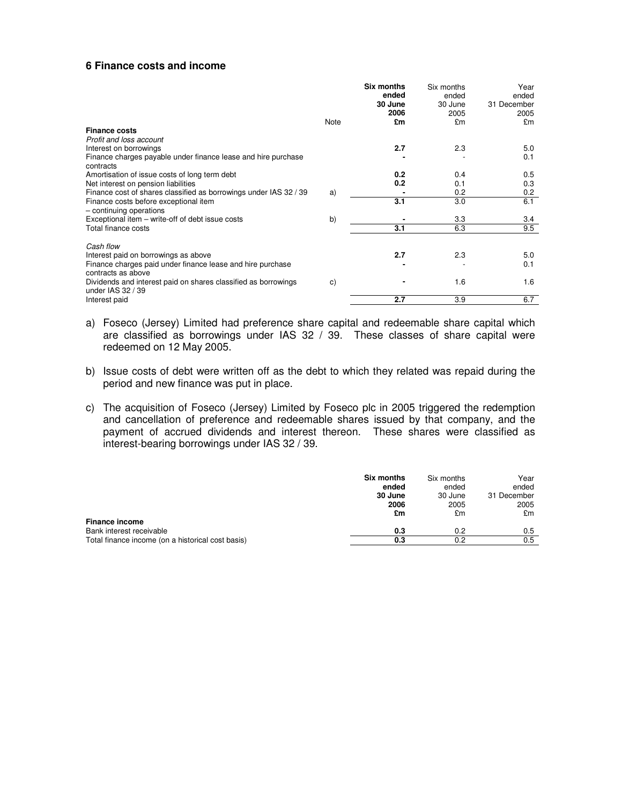#### **6 Finance costs and income**

|                                                                                     |      | <b>Six months</b><br>ended<br>30 June<br>2006 | Six months<br>ended<br>30 June<br>2005 | Year<br>ended<br>31 December<br>2005 |
|-------------------------------------------------------------------------------------|------|-----------------------------------------------|----------------------------------------|--------------------------------------|
|                                                                                     | Note | £m                                            | £m                                     | £m                                   |
| <b>Finance costs</b>                                                                |      |                                               |                                        |                                      |
| Profit and loss account                                                             |      |                                               |                                        |                                      |
| Interest on borrowings                                                              |      | 2.7                                           | 2.3                                    | 5.0                                  |
| Finance charges payable under finance lease and hire purchase<br>contracts          |      |                                               |                                        | 0.1                                  |
| Amortisation of issue costs of long term debt                                       |      | 0.2                                           | 0.4                                    | 0.5                                  |
| Net interest on pension liabilities                                                 |      | 0.2                                           | 0.1                                    | 0.3                                  |
| Finance cost of shares classified as borrowings under IAS 32 / 39                   | a)   |                                               | 0.2                                    | 0.2                                  |
| Finance costs before exceptional item<br>- continuing operations                    |      | 3.1                                           | 3.0                                    | 6.1                                  |
| Exceptional item – write-off of debt issue costs                                    | b)   |                                               | 3.3                                    | 3.4                                  |
| Total finance costs                                                                 |      | 3.1                                           | 6.3                                    | 9.5                                  |
| Cash flow                                                                           |      |                                               |                                        |                                      |
| Interest paid on borrowings as above                                                |      | 2.7                                           | 2.3                                    | 5.0                                  |
| Finance charges paid under finance lease and hire purchase<br>contracts as above    |      |                                               |                                        | 0.1                                  |
| Dividends and interest paid on shares classified as borrowings<br>under IAS 32 / 39 | C)   |                                               | 1.6                                    | 1.6                                  |
| Interest paid                                                                       |      | 2.7                                           | 3.9                                    | 6.7                                  |

- a) Foseco (Jersey) Limited had preference share capital and redeemable share capital which are classified as borrowings under IAS 32 / 39. These classes of share capital were redeemed on 12 May 2005.
- b) Issue costs of debt were written off as the debt to which they related was repaid during the period and new finance was put in place.
- c) The acquisition of Foseco (Jersey) Limited by Foseco plc in 2005 triggered the redemption and cancellation of preference and redeemable shares issued by that company, and the payment of accrued dividends and interest thereon. These shares were classified as interest-bearing borrowings under IAS 32 / 39.

|                                                   | <b>Six months</b><br>ended<br>30 June<br>2006<br>£m | Six months<br>ended<br>30 June<br>2005<br>£m | Year<br>ended<br>31 December<br>2005<br>£m |
|---------------------------------------------------|-----------------------------------------------------|----------------------------------------------|--------------------------------------------|
| <b>Finance income</b>                             |                                                     |                                              |                                            |
| Bank interest receivable                          | 0.3                                                 | 0.2                                          | 0.5                                        |
| Total finance income (on a historical cost basis) | 0.3                                                 | 0.2                                          | 0.5                                        |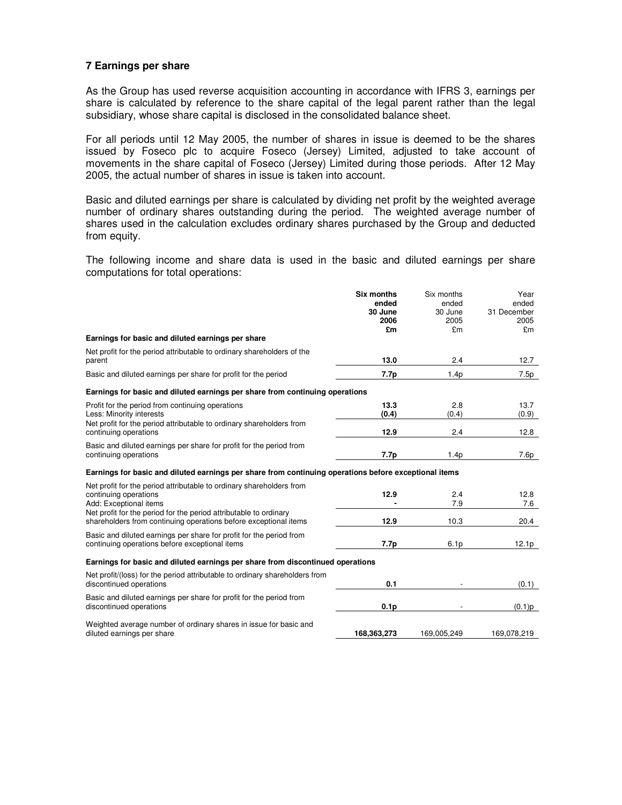### **7 Earnings per share**

As the Group has used reverse acquisition accounting in accordance with IFRS 3, earnings per share is calculated by reference to the share capital of the legal parent rather than the legal subsidiary, whose share capital is disclosed in the consolidated balance sheet.

For all periods until 12 May 2005, the number of shares in issue is deemed to be the shares issued by Foseco plc to acquire Foseco (Jersey) Limited, adjusted to take account of movements in the share capital of Foseco (Jersey) Limited during those periods. After 12 May 2005, the actual number of shares in issue is taken into account.

Basic and diluted earnings per share is calculated by dividing net profit by the weighted average number of ordinary shares outstanding during the period. The weighted average number of shares used in the calculation excludes ordinary shares purchased by the Group and deducted from equity.

The following income and share data is used in the basic and diluted earnings per share computations for total operations:

|                                                                                                                                                                                              | <b>Six months</b><br>ended<br>30 June<br>2006<br>£m | Six months<br>ended<br>30 June<br>2005<br>£m | Year<br>ended<br>31 December<br>2005<br>£m |
|----------------------------------------------------------------------------------------------------------------------------------------------------------------------------------------------|-----------------------------------------------------|----------------------------------------------|--------------------------------------------|
| Earnings for basic and diluted earnings per share                                                                                                                                            |                                                     |                                              |                                            |
| Net profit for the period attributable to ordinary shareholders of the<br>parent                                                                                                             | 13.0                                                | 2.4                                          | 12.7                                       |
| Basic and diluted earnings per share for profit for the period                                                                                                                               | 7.7p                                                | 1.4p                                         | 7.5p                                       |
| Earnings for basic and diluted earnings per share from continuing operations                                                                                                                 |                                                     |                                              |                                            |
| Profit for the period from continuing operations<br>Less: Minority interests<br>Net profit for the period attributable to ordinary shareholders from                                         | 13.3<br>(0.4)                                       | 2.8<br>(0.4)                                 | 13.7<br>(0.9)                              |
| continuing operations                                                                                                                                                                        | 12.9                                                | 2.4                                          | 12.8                                       |
| Basic and diluted earnings per share for profit for the period from<br>continuing operations                                                                                                 | 7.7p                                                | 1.4 <sub>p</sub>                             | 7.6p                                       |
| Earnings for basic and diluted earnings per share from continuing operations before exceptional items                                                                                        |                                                     |                                              |                                            |
| Net profit for the period attributable to ordinary shareholders from<br>continuing operations<br>Add: Exceptional items<br>Net profit for the period for the period attributable to ordinary | 12.9                                                | 2.4<br>7.9                                   | 12.8<br>7.6                                |
| shareholders from continuing operations before exceptional items                                                                                                                             | 12.9                                                | 10.3                                         | 20.4                                       |
| Basic and diluted earnings per share for profit for the period from<br>continuing operations before exceptional items                                                                        | 7.7p                                                | 6.1 <sub>p</sub>                             | 12.1 <sub>p</sub>                          |
| Earnings for basic and diluted earnings per share from discontinued operations                                                                                                               |                                                     |                                              |                                            |
| Net profit/(loss) for the period attributable to ordinary shareholders from<br>discontinued operations                                                                                       | 0.1                                                 |                                              | (0.1)                                      |
| Basic and diluted earnings per share for profit for the period from<br>discontinued operations                                                                                               | 0.1 <sub>p</sub>                                    |                                              | (0.1)p                                     |
| Weighted average number of ordinary shares in issue for basic and<br>diluted earnings per share                                                                                              | 168,363,273                                         | 169,005,249                                  | 169,078,219                                |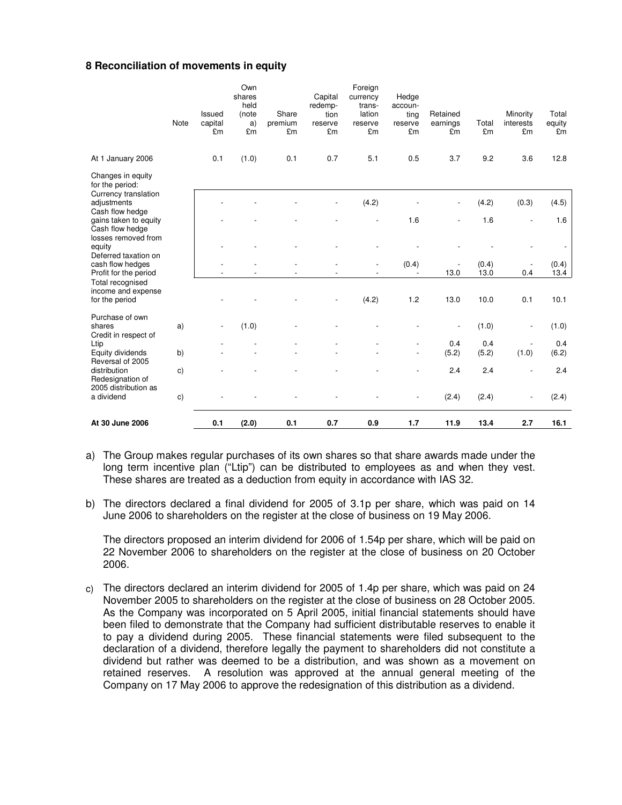### **8 Reconciliation of movements in equity**

| At 30 June 2006                                                           |                | 0.1                      | (2.0)                   | 0.1           | 0.7                        | 0.9                          | 1.7                      | 11.9           | 13.4          | 2.7                      | 16.1         |
|---------------------------------------------------------------------------|----------------|--------------------------|-------------------------|---------------|----------------------------|------------------------------|--------------------------|----------------|---------------|--------------------------|--------------|
| a dividend                                                                | $\mathbf{c})$  |                          |                         |               |                            |                              | $\overline{a}$           | (2.4)          | (2.4)         | $\overline{\phantom{a}}$ | (2.4)        |
| 2005 distribution as                                                      |                |                          |                         |               |                            |                              |                          |                |               |                          |              |
| distribution<br>Redesignation of                                          | $\mathsf{c}$ ) |                          |                         |               |                            |                              |                          | 2.4            | 2.4           |                          | 2.4          |
| Equity dividends<br>Reversal of 2005                                      | b)             |                          |                         |               |                            |                              | $\overline{a}$           | (5.2)          | (5.2)         | (1.0)                    | (6.2)        |
| Credit in respect of<br>Ltip                                              |                |                          |                         |               |                            |                              |                          | 0.4            | 0.4           |                          | 0.4          |
| Purchase of own<br>shares                                                 | a)             | $\overline{\phantom{a}}$ | (1.0)                   |               |                            |                              |                          |                | (1.0)         | $\overline{\phantom{a}}$ | (1.0)        |
| Total recognised<br>income and expense<br>for the period                  |                |                          |                         |               |                            | (4.2)                        | 1.2                      | 13.0           | 10.0          | 0.1                      | 10.1         |
| cash flow hedges<br>Profit for the period                                 |                |                          |                         |               |                            |                              |                          | 13.0           | (0.4)<br>13.0 | 0.4                      | 13.4         |
| losses removed from<br>equity<br>Deferred taxation on                     |                |                          |                         |               |                            | ÷                            | (0.4)                    |                |               |                          | (0.4)        |
| gains taken to equity<br>Cash flow hedge                                  |                |                          |                         |               |                            |                              | 1.6                      |                | 1.6           | $\overline{a}$           | 1.6          |
| for the period:<br>Currency translation<br>adjustments<br>Cash flow hedge |                |                          |                         |               | $\overline{\phantom{a}}$   | (4.2)                        |                          |                | (4.2)         | (0.3)                    | (4.5)        |
| At 1 January 2006<br>Changes in equity                                    |                | 0.1                      | (1.0)                   | 0.1           |                            |                              |                          |                |               |                          |              |
|                                                                           |                |                          |                         |               | 0.7                        | 5.1                          | 0.5                      | 3.7            | 9.2           | 3.6                      | 12.8         |
|                                                                           | Note           | capital<br>£m            | a)<br>£m                | premium<br>£m | reserve<br>£m              | reserve<br>£m                | reserve<br>£m            | earnings<br>£m | Total<br>£m   | interests<br>£m          | equity<br>£m |
|                                                                           |                | Issued                   | shares<br>held<br>(note | Share         | Capital<br>redemp-<br>tion | currency<br>trans-<br>lation | Hedge<br>accoun-<br>ting | Retained       |               | Minority                 | Total        |
|                                                                           |                |                          | Own                     |               |                            | Foreign                      |                          |                |               |                          |              |

a) The Group makes regular purchases of its own shares so that share awards made under the long term incentive plan ("Ltip") can be distributed to employees as and when they vest. These shares are treated as a deduction from equity in accordance with IAS 32.

b) The directors declared a final dividend for 2005 of 3.1p per share, which was paid on 14 June 2006 to shareholders on the register at the close of business on 19 May 2006.

The directors proposed an interim dividend for 2006 of 1.54p per share, which will be paid on 22 November 2006 to shareholders on the register at the close of business on 20 October 2006.

c) The directors declared an interim dividend for 2005 of 1.4p per share, which was paid on 24 November 2005 to shareholders on the register at the close of business on 28 October 2005. As the Company was incorporated on 5 April 2005, initial financial statements should have been filed to demonstrate that the Company had sufficient distributable reserves to enable it to pay a dividend during 2005. These financial statements were filed subsequent to the declaration of a dividend, therefore legally the payment to shareholders did not constitute a dividend but rather was deemed to be a distribution, and was shown as a movement on retained reserves. A resolution was approved at the annual general meeting of the Company on 17 May 2006 to approve the redesignation of this distribution as a dividend.